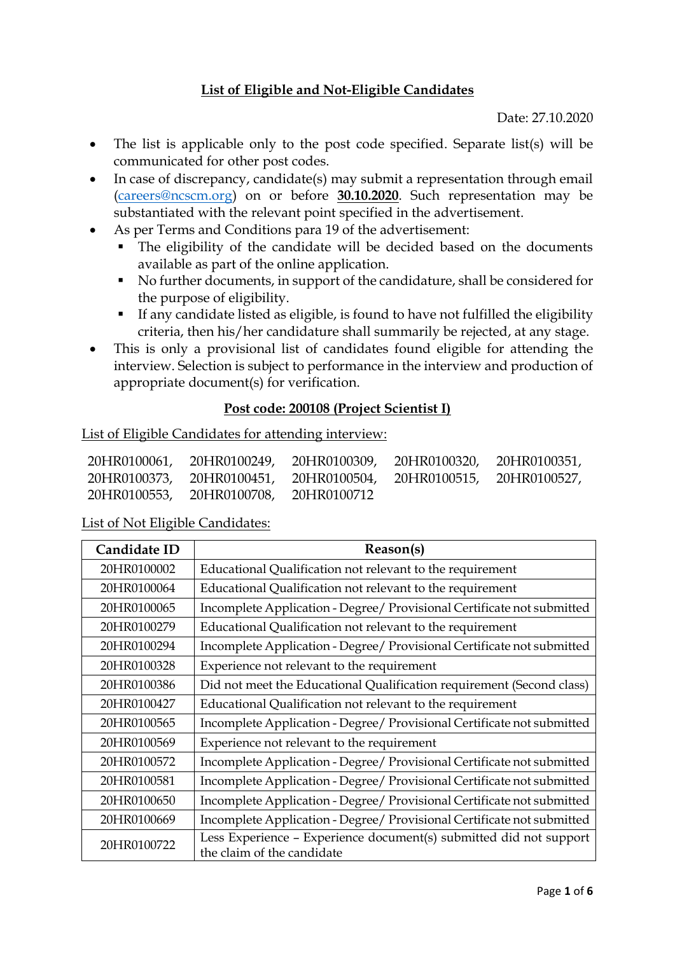### **List of Eligible and Not-Eligible Candidates**

Date: 27.10.2020

- The list is applicable only to the post code specified. Separate list(s) will be communicated for other post codes.
- In case of discrepancy, candidate(s) may submit a representation through email [\(careers@ncscm.org\)](mailto:careers@ncscm.org) on or before **30.10.2020**. Such representation may be substantiated with the relevant point specified in the advertisement.
- As per Terms and Conditions para 19 of the advertisement:
	- The eligibility of the candidate will be decided based on the documents available as part of the online application.
	- No further documents, in support of the candidature, shall be considered for the purpose of eligibility.
	- If any candidate listed as eligible, is found to have not fulfilled the eligibility criteria, then his/her candidature shall summarily be rejected, at any stage.
- This is only a provisional list of candidates found eligible for attending the interview. Selection is subject to performance in the interview and production of appropriate document(s) for verification.

### **Post code: 200108 (Project Scientist I)**

#### List of Eligible Candidates for attending interview:

|                                       | 20HR0100061, 20HR0100249, 20HR0100309, 20HR0100320, 20HR0100351, |  |
|---------------------------------------|------------------------------------------------------------------|--|
|                                       | 20HR0100373, 20HR0100451, 20HR0100504, 20HR0100515, 20HR0100527, |  |
| 20HR0100553, 20HR0100708, 20HR0100712 |                                                                  |  |

| Candidate ID | Reason(s)                                                                                        |
|--------------|--------------------------------------------------------------------------------------------------|
| 20HR0100002  | Educational Qualification not relevant to the requirement                                        |
| 20HR0100064  | Educational Qualification not relevant to the requirement                                        |
| 20HR0100065  | Incomplete Application - Degree/ Provisional Certificate not submitted                           |
| 20HR0100279  | Educational Qualification not relevant to the requirement                                        |
| 20HR0100294  | Incomplete Application - Degree/ Provisional Certificate not submitted                           |
| 20HR0100328  | Experience not relevant to the requirement                                                       |
| 20HR0100386  | Did not meet the Educational Qualification requirement (Second class)                            |
| 20HR0100427  | Educational Qualification not relevant to the requirement                                        |
| 20HR0100565  | Incomplete Application - Degree/ Provisional Certificate not submitted                           |
| 20HR0100569  | Experience not relevant to the requirement                                                       |
| 20HR0100572  | Incomplete Application - Degree/ Provisional Certificate not submitted                           |
| 20HR0100581  | Incomplete Application - Degree/ Provisional Certificate not submitted                           |
| 20HR0100650  | Incomplete Application - Degree/ Provisional Certificate not submitted                           |
| 20HR0100669  | Incomplete Application - Degree/ Provisional Certificate not submitted                           |
| 20HR0100722  | Less Experience - Experience document(s) submitted did not support<br>the claim of the candidate |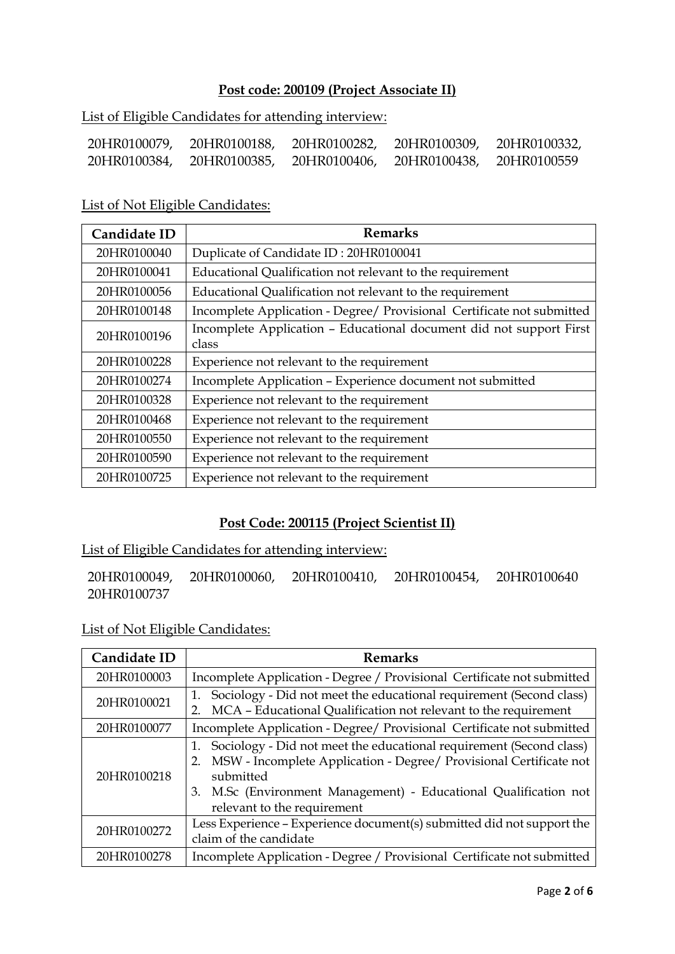## **Post code: 200109 (Project Associate II)**

List of Eligible Candidates for attending interview:

| 20HR0100079, | 20HR0100188, | 20HR0100282, | 20HR0100309, | 20HR0100332, |
|--------------|--------------|--------------|--------------|--------------|
| 20HR0100384, | 20HR0100385, | 20HR0100406, | 20HR0100438, | 20HR0100559  |

List of Not Eligible Candidates:

| Candidate ID | <b>Remarks</b>                                                         |
|--------------|------------------------------------------------------------------------|
| 20HR0100040  | Duplicate of Candidate ID: 20HR0100041                                 |
| 20HR0100041  | Educational Qualification not relevant to the requirement              |
| 20HR0100056  | Educational Qualification not relevant to the requirement              |
| 20HR0100148  | Incomplete Application - Degree/ Provisional Certificate not submitted |
| 20HR0100196  | Incomplete Application - Educational document did not support First    |
|              | class                                                                  |
| 20HR0100228  | Experience not relevant to the requirement                             |
| 20HR0100274  | Incomplete Application - Experience document not submitted             |
| 20HR0100328  | Experience not relevant to the requirement                             |
| 20HR0100468  | Experience not relevant to the requirement                             |
| 20HR0100550  | Experience not relevant to the requirement                             |
| 20HR0100590  | Experience not relevant to the requirement                             |
| 20HR0100725  | Experience not relevant to the requirement                             |

## **Post Code: 200115 (Project Scientist II)**

List of Eligible Candidates for attending interview:

20HR0100049, 20HR0100060, 20HR0100410, 20HR0100454, 20HR0100640 20HR0100737

| Candidate ID | <b>Remarks</b>                                                                                                                                                                                                                                            |
|--------------|-----------------------------------------------------------------------------------------------------------------------------------------------------------------------------------------------------------------------------------------------------------|
| 20HR0100003  | Incomplete Application - Degree / Provisional Certificate not submitted                                                                                                                                                                                   |
| 20HR0100021  | Sociology - Did not meet the educational requirement (Second class)<br>1.<br>MCA - Educational Qualification not relevant to the requirement<br>2.                                                                                                        |
| 20HR0100077  | Incomplete Application - Degree/ Provisional Certificate not submitted                                                                                                                                                                                    |
| 20HR0100218  | Sociology - Did not meet the educational requirement (Second class)<br>MSW - Incomplete Application - Degree/ Provisional Certificate not<br>submitted<br>3. M.Sc (Environment Management) - Educational Qualification not<br>relevant to the requirement |
| 20HR0100272  | Less Experience - Experience document(s) submitted did not support the<br>claim of the candidate                                                                                                                                                          |
| 20HR0100278  | Incomplete Application - Degree / Provisional Certificate not submitted                                                                                                                                                                                   |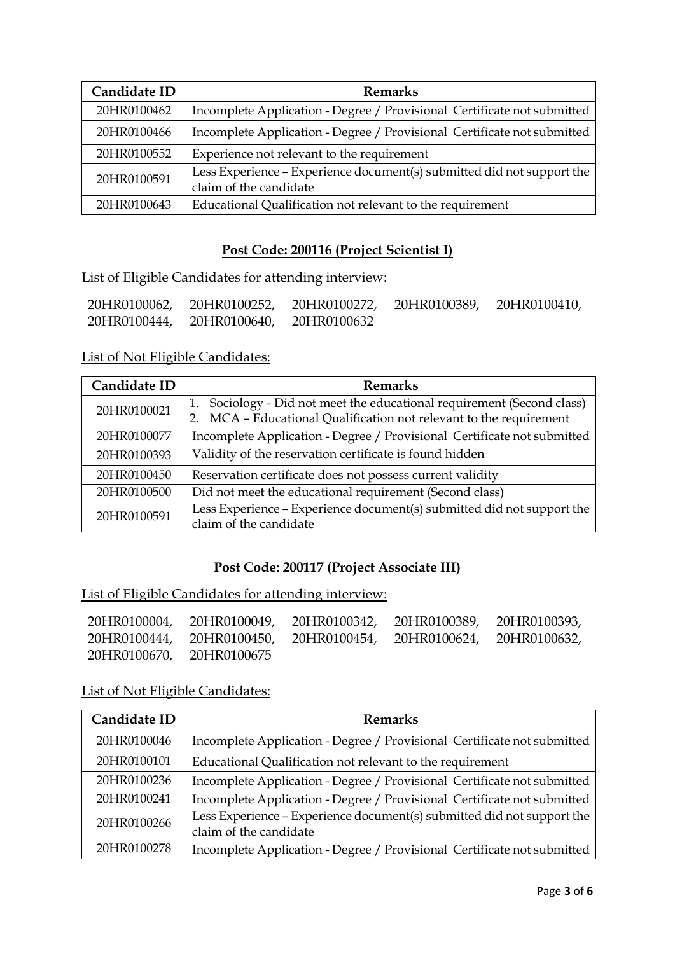| Candidate ID | <b>Remarks</b>                                                                                   |
|--------------|--------------------------------------------------------------------------------------------------|
| 20HR0100462  | Incomplete Application - Degree / Provisional Certificate not submitted                          |
| 20HR0100466  | Incomplete Application - Degree / Provisional Certificate not submitted                          |
| 20HR0100552  | Experience not relevant to the requirement                                                       |
| 20HR0100591  | Less Experience - Experience document(s) submitted did not support the<br>claim of the candidate |
| 20HR0100643  | Educational Qualification not relevant to the requirement                                        |

## **Post Code: 200116 (Project Scientist I)**

List of Eligible Candidates for attending interview:

| 20HR0100062, |                          | 20HR0100252, 20HR0100272, 20HR0100389, 20HR0100410, |  |
|--------------|--------------------------|-----------------------------------------------------|--|
| 20HR0100444, | 20HR0100640, 20HR0100632 |                                                     |  |

## List of Not Eligible Candidates:

| Candidate ID | <b>Remarks</b>                                                                                                                                     |
|--------------|----------------------------------------------------------------------------------------------------------------------------------------------------|
| 20HR0100021  | Sociology - Did not meet the educational requirement (Second class)<br>1.<br>MCA - Educational Qualification not relevant to the requirement<br>2. |
| 20HR0100077  | Incomplete Application - Degree / Provisional Certificate not submitted                                                                            |
| 20HR0100393  | Validity of the reservation certificate is found hidden                                                                                            |
| 20HR0100450  | Reservation certificate does not possess current validity                                                                                          |
| 20HR0100500  | Did not meet the educational requirement (Second class)                                                                                            |
| 20HR0100591  | Less Experience - Experience document(s) submitted did not support the<br>claim of the candidate                                                   |

## **Post Code: 200117 (Project Associate III)**

List of Eligible Candidates for attending interview:

|                          | 20HR0100004, 20HR0100049, 20HR0100342, 20HR0100389, 20HR0100393, |  |
|--------------------------|------------------------------------------------------------------|--|
|                          | 20HR0100444, 20HR0100450, 20HR0100454, 20HR0100624, 20HR0100632, |  |
| 20HR0100670, 20HR0100675 |                                                                  |  |

| Candidate ID | <b>Remarks</b>                                                          |
|--------------|-------------------------------------------------------------------------|
| 20HR0100046  | Incomplete Application - Degree / Provisional Certificate not submitted |
| 20HR0100101  | Educational Qualification not relevant to the requirement               |
| 20HR0100236  | Incomplete Application - Degree / Provisional Certificate not submitted |
| 20HR0100241  | Incomplete Application - Degree / Provisional Certificate not submitted |
| 20HR0100266  | Less Experience - Experience document(s) submitted did not support the  |
|              | claim of the candidate                                                  |
| 20HR0100278  | Incomplete Application - Degree / Provisional Certificate not submitted |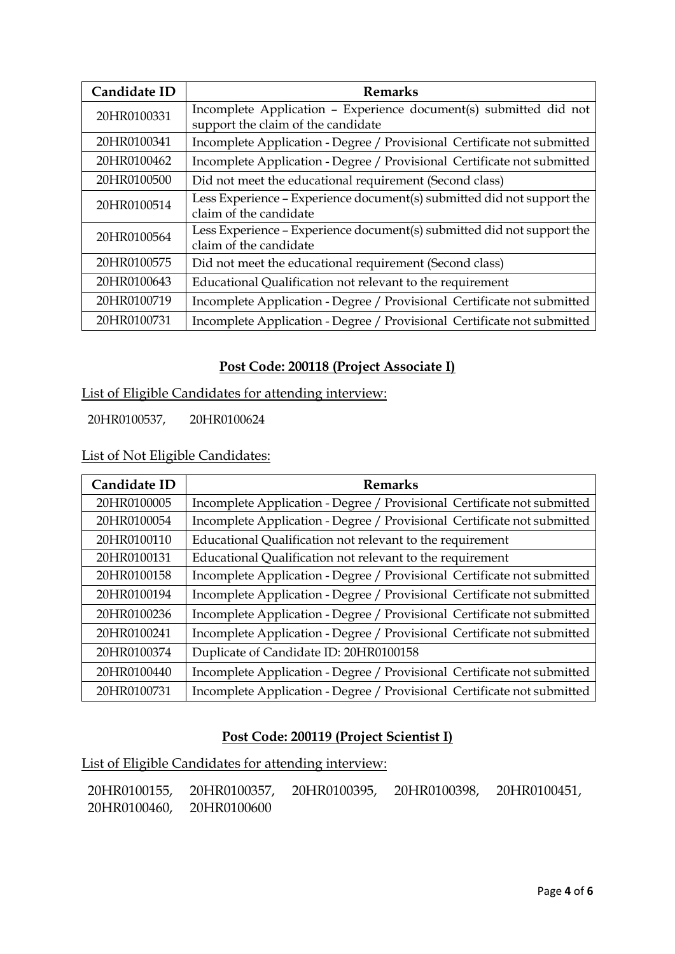| Candidate ID | <b>Remarks</b>                                                                                          |
|--------------|---------------------------------------------------------------------------------------------------------|
| 20HR0100331  | Incomplete Application - Experience document(s) submitted did not<br>support the claim of the candidate |
| 20HR0100341  | Incomplete Application - Degree / Provisional Certificate not submitted                                 |
| 20HR0100462  | Incomplete Application - Degree / Provisional Certificate not submitted                                 |
| 20HR0100500  | Did not meet the educational requirement (Second class)                                                 |
| 20HR0100514  | Less Experience - Experience document(s) submitted did not support the<br>claim of the candidate        |
| 20HR0100564  | Less Experience – Experience document(s) submitted did not support the<br>claim of the candidate        |
| 20HR0100575  | Did not meet the educational requirement (Second class)                                                 |
| 20HR0100643  | Educational Qualification not relevant to the requirement                                               |
| 20HR0100719  | Incomplete Application - Degree / Provisional Certificate not submitted                                 |
| 20HR0100731  | Incomplete Application - Degree / Provisional Certificate not submitted                                 |

## **Post Code: 200118 (Project Associate I)**

List of Eligible Candidates for attending interview:

20HR0100537, 20HR0100624

## List of Not Eligible Candidates:

| Candidate ID | <b>Remarks</b>                                                          |
|--------------|-------------------------------------------------------------------------|
| 20HR0100005  | Incomplete Application - Degree / Provisional Certificate not submitted |
| 20HR0100054  | Incomplete Application - Degree / Provisional Certificate not submitted |
| 20HR0100110  | Educational Qualification not relevant to the requirement               |
| 20HR0100131  | Educational Qualification not relevant to the requirement               |
| 20HR0100158  | Incomplete Application - Degree / Provisional Certificate not submitted |
| 20HR0100194  | Incomplete Application - Degree / Provisional Certificate not submitted |
| 20HR0100236  | Incomplete Application - Degree / Provisional Certificate not submitted |
| 20HR0100241  | Incomplete Application - Degree / Provisional Certificate not submitted |
| 20HR0100374  | Duplicate of Candidate ID: 20HR0100158                                  |
| 20HR0100440  | Incomplete Application - Degree / Provisional Certificate not submitted |
| 20HR0100731  | Incomplete Application - Degree / Provisional Certificate not submitted |

#### **Post Code: 200119 (Project Scientist I)**

List of Eligible Candidates for attending interview:

20HR0100155, 20HR0100357, 20HR0100395, 20HR0100398, 20HR0100451, 20HR0100460, 20HR0100600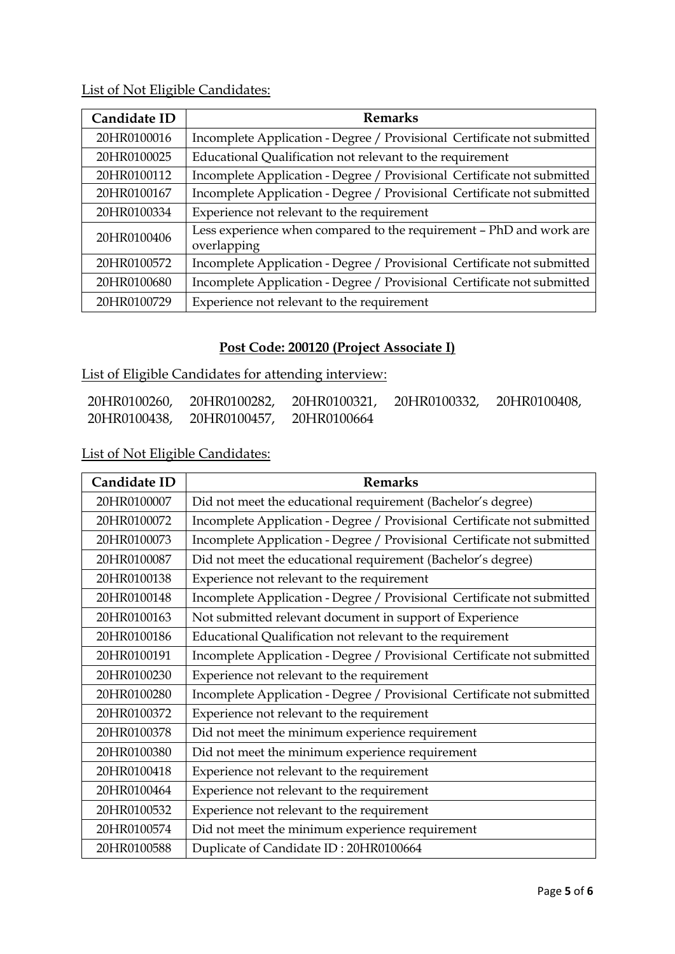List of Not Eligible Candidates:

| Candidate ID | <b>Remarks</b>                                                                     |
|--------------|------------------------------------------------------------------------------------|
| 20HR0100016  | Incomplete Application - Degree / Provisional Certificate not submitted            |
| 20HR0100025  | Educational Qualification not relevant to the requirement                          |
| 20HR0100112  | Incomplete Application - Degree / Provisional Certificate not submitted            |
| 20HR0100167  | Incomplete Application - Degree / Provisional Certificate not submitted            |
| 20HR0100334  | Experience not relevant to the requirement                                         |
| 20HR0100406  | Less experience when compared to the requirement - PhD and work are<br>overlapping |
| 20HR0100572  | Incomplete Application - Degree / Provisional Certificate not submitted            |
| 20HR0100680  | Incomplete Application - Degree / Provisional Certificate not submitted            |
| 20HR0100729  | Experience not relevant to the requirement                                         |

# **Post Code: 200120 (Project Associate I)**

List of Eligible Candidates for attending interview:

| 20HR0100260, | 20HR0100282, 20HR0100321, 20HR0100332, |             | 20HR0100408, |
|--------------|----------------------------------------|-------------|--------------|
| 20HR0100438, | 20HR0100457,                           | 20HR0100664 |              |

| Candidate ID | <b>Remarks</b>                                                          |
|--------------|-------------------------------------------------------------------------|
| 20HR0100007  | Did not meet the educational requirement (Bachelor's degree)            |
| 20HR0100072  | Incomplete Application - Degree / Provisional Certificate not submitted |
| 20HR0100073  | Incomplete Application - Degree / Provisional Certificate not submitted |
| 20HR0100087  | Did not meet the educational requirement (Bachelor's degree)            |
| 20HR0100138  | Experience not relevant to the requirement                              |
| 20HR0100148  | Incomplete Application - Degree / Provisional Certificate not submitted |
| 20HR0100163  | Not submitted relevant document in support of Experience                |
| 20HR0100186  | Educational Qualification not relevant to the requirement               |
| 20HR0100191  | Incomplete Application - Degree / Provisional Certificate not submitted |
| 20HR0100230  | Experience not relevant to the requirement                              |
| 20HR0100280  | Incomplete Application - Degree / Provisional Certificate not submitted |
| 20HR0100372  | Experience not relevant to the requirement                              |
| 20HR0100378  | Did not meet the minimum experience requirement                         |
| 20HR0100380  | Did not meet the minimum experience requirement                         |
| 20HR0100418  | Experience not relevant to the requirement                              |
| 20HR0100464  | Experience not relevant to the requirement                              |
| 20HR0100532  | Experience not relevant to the requirement                              |
| 20HR0100574  | Did not meet the minimum experience requirement                         |
| 20HR0100588  | Duplicate of Candidate ID: 20HR0100664                                  |